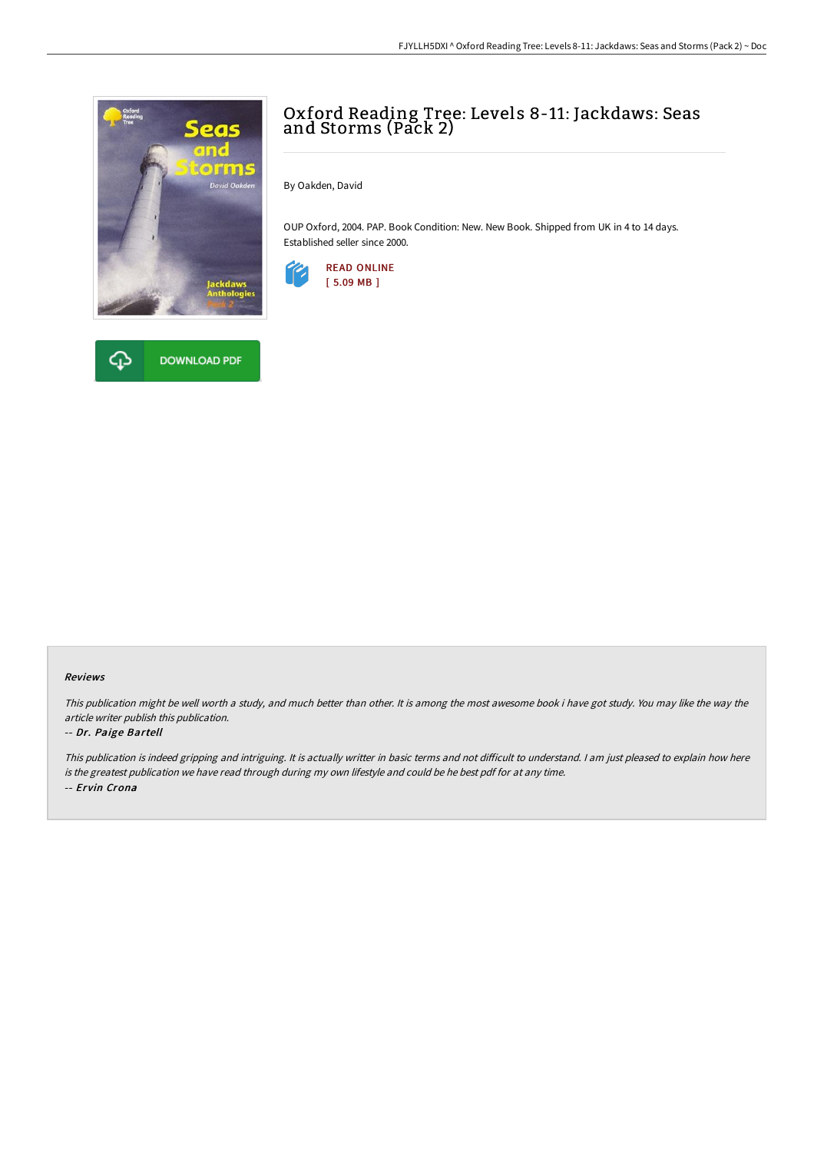

## क़ **DOWNLOAD PDF**

## Oxford Reading Tree: Levels 8-11: Jackdaws: Seas and Storms (Pack 2)

By Oakden, David

OUP Oxford, 2004. PAP. Book Condition: New. New Book. Shipped from UK in 4 to 14 days. Established seller since 2000.



## Reviews

This publication might be well worth <sup>a</sup> study, and much better than other. It is among the most awesome book i have got study. You may like the way the article writer publish this publication.

## -- Dr. Paige Bartell

This publication is indeed gripping and intriguing. It is actually writter in basic terms and not difficult to understand. I am just pleased to explain how here is the greatest publication we have read through during my own lifestyle and could be he best pdf for at any time. -- Ervin Crona